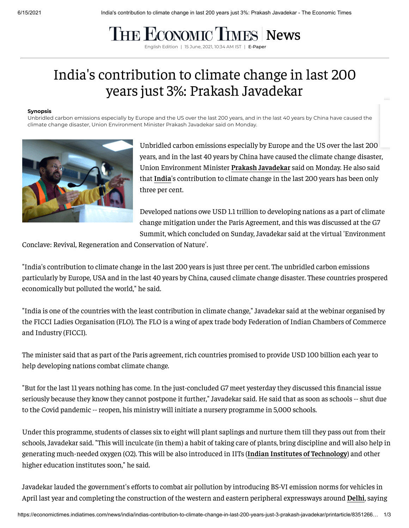## THE ECONOMIC TIMES [News](https://economictimes.indiatimes.com/news)

English Edition | 15 June, 2021, 10:34 AM IST | **[E-Paper](https://epaper.timesgroup.com/)** 

## India's contribution to climate change in last 200 years just 3%: Prakash Javadekar

## **Synopsis**

Unbridled carbon emissions especially by Europe and the US over the last 200 years, and in the last 40 years by China have caused the climate change disaster, Union Environment Minister Prakash Javadekar said on Monday.



Unbridled carbon emissions especially by Europe and the US over the last 200 years, and in the last 40 years by China have caused the climate change disaster, Union Environment Minister **Prakash [Javadekar](https://economictimes.indiatimes.com/topic/Prakash-Javadekar)** said on Monday. He also said that **[India](https://economictimes.indiatimes.com/topic/India)**'s contribution to climate change in the last 200 years has been only three per cent.

Developed nations owe USD 1.1 trillion to developing nations as a part of climate change mitigation under the Paris Agreement, and this was discussed at the G7 Summit, which concluded on Sunday, Javadekar said at the virtual 'Environment

Conclave: Revival, Regeneration and Conservation of Nature'.

"India's contribution to climate change in the last 200 years is just three per cent. The unbridled carbon emissions particularly by Europe, USA and in the last 40 years by China, caused climate change disaster. These countries prospered economically but polluted the world," he said.

"India is one of the countries with the least contribution in climate change," Javadekar said at the webinar organised by the FICCI Ladies Organisation (FLO). The FLO is a wing of apex trade body Federation of Indian Chambers of Commerce and Industry (FICCI).

The minister said that as part of the Paris agreement, rich countries promised to provide USD 100 billion each year to help developing nations combat climate change.

"But for the last 11 years nothing has come. In the just-concluded G7 meet yesterday they discussed this financial issue seriously because they know they cannot postpone it further," Javadekar said. He said that as soon as schools -- shut due to the Covid pandemic -- reopen, his ministry will initiate a nursery programme in 5,000 schools.

Under this programme, students of classes six to eight will plant saplings and nurture them till they pass out from their schools, Javadekar said. "This will inculcate (in them) a habit of taking care of plants, bring discipline and will also help in generating much-needed oxygen (O2). This will be also introduced in IITs (**Indian Institutes of [Technology](https://economictimes.indiatimes.com/topic/Indian-Institutes-of-Technology)**) and other higher education institutes soon," he said.

Javadekar lauded the government's efforts to combat air pollution by introducing BS-VI emission norms for vehicles in April last year and completing the construction of the western and eastern peripheral expressways around **[Delhi](https://economictimes.indiatimes.com/topic/Delhi)**, saying